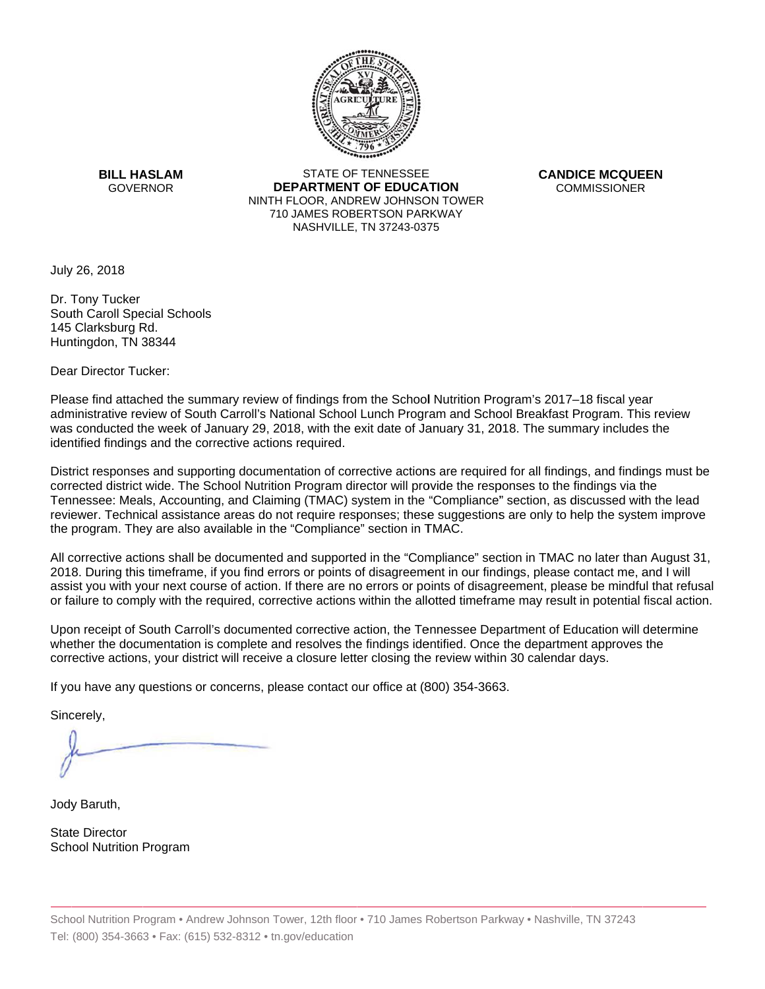

**BILL HASLAM** GOVERNOR **DEI** 

STATE OF TENNESSEE **EPARTMENT OF EDUCATION** NINTH FLOOR, ANDREW JOHNSON TOWER 710 JAMES ROBERTSON PARKWAY NASHVILLE,TN 37243-0375

**CANDICE MCQUEEN** CO OMMISSIONER

July 26, 2018

Dr. Tony Tucker South Caroll Special Schools 145 Clarksburg Rd. Huntingdon, TN 38344

Dear Director Tucker:

Please find attached the summary review of findings from the School Nutrition Program's 2017–18 fiscal year administrative review of South Carroll's National School Lunch Program and School Breakfast Program. This review was conducted the week of January 29, 2018, with the exit date of January 31, 2018. The summary includes the identified findings and the corrective actions required.

Tennessee: Meals, Accounting, and Claiming (TMAC) system in the "Compliance" section, as discussed with the lead District responses and supporting documentation of corrective actions are required for all findings, and findings must be corrected district wide. The School Nutrition Program director will provide the responses to the findings via the reviewer. Technical assistance areas do not require responses; these suggestions are only to help the system improve the program. They are also available in the "Compliance" section in TMAC.

All corrective actions shall be documented and supported in the "Compliance" section in TMAC no later than August 31, 2018. During this timeframe, if you find errors or points of disagreement in our findings, please contact me, and I will assist you with your next course of action. If there are no errors or points of disagreement, please be mindful that refusal or failure to comply with the required, corrective actions within the allotted timeframe may result in potential fiscal action.

Upon receipt of South Carroll's documented corrective action, the Tennessee Department of Education will determine whether the documentation is complete and resolves the findings identified. Once the department approves the corrective actions, your district will receive a closure letter closing the review within 30 calendar days.

If you have any questions or concerns, please contact our office at (800) 354-3663.

Sincerely,

Jody Baruth,

State Director School Nutrition Program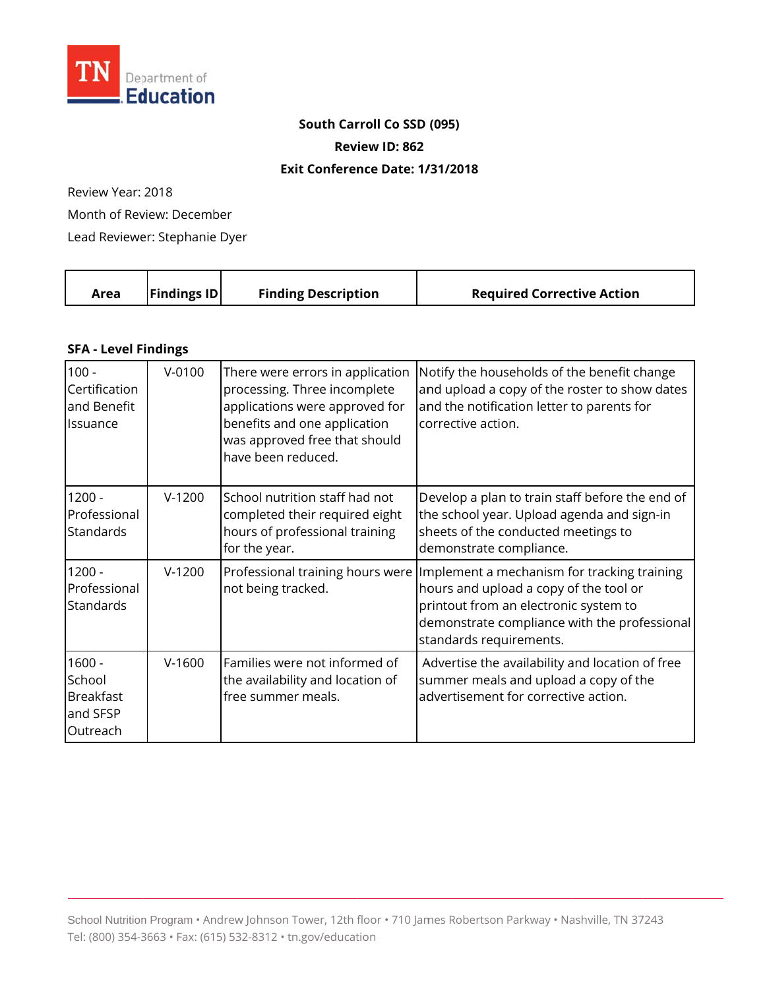

## **South Carroll Co SSD (095)**

**Review ID: 862**

## **Exit Conference Date: 1/31/2018**

Review Year: 2018

Month of Review: December

Lead Reviewer: Stephanie Dyer

| <b>Findings ID</b><br><b>Finding Description</b><br><b>Required Corrective Action</b><br>Area |
|-----------------------------------------------------------------------------------------------|
|-----------------------------------------------------------------------------------------------|

## **SFA - Level Findings**

| $100 -$<br>Certification<br>and Benefit<br>Issuance            | $V-0100$ | There were errors in application<br>processing. Three incomplete<br>applications were approved for<br>benefits and one application<br>was approved free that should<br>have been reduced. | Notify the households of the benefit change<br>and upload a copy of the roster to show dates<br>and the notification letter to parents for<br>corrective action.                                          |
|----------------------------------------------------------------|----------|-------------------------------------------------------------------------------------------------------------------------------------------------------------------------------------------|-----------------------------------------------------------------------------------------------------------------------------------------------------------------------------------------------------------|
| $1200 -$<br>Professional<br>Standards                          | $V-1200$ | School nutrition staff had not<br>completed their required eight<br>hours of professional training<br>for the year.                                                                       | Develop a plan to train staff before the end of<br>the school year. Upload agenda and sign-in<br>sheets of the conducted meetings to<br>demonstrate compliance.                                           |
| $1200 -$<br>Professional<br><b>Standards</b>                   | $V-1200$ | Professional training hours were<br>not being tracked.                                                                                                                                    | Implement a mechanism for tracking training<br>hours and upload a copy of the tool or<br>printout from an electronic system to<br>demonstrate compliance with the professional<br>standards requirements. |
| $1600 -$<br>School<br><b>Breakfast</b><br>and SFSP<br>Outreach | $V-1600$ | Families were not informed of<br>the availability and location of<br>free summer meals.                                                                                                   | Advertise the availability and location of free<br>summer meals and upload a copy of the<br>advertisement for corrective action.                                                                          |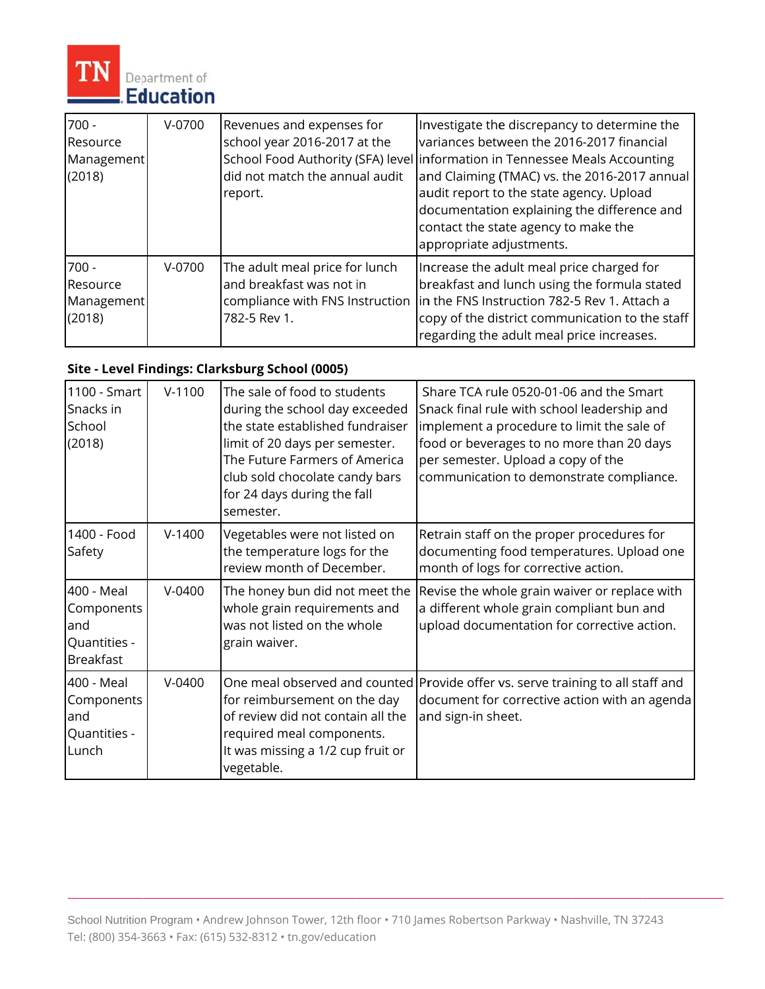

| $700 -$<br>Resource<br>Management<br>(2018) | $V-0700$ | Revenues and expenses for<br>school year 2016-2017 at the<br>did not match the annual audit<br>report. | Investigate the discrepancy to determine the<br>variances between the 2016-2017 financial<br>School Food Authority (SFA) level information in Tennessee Meals Accounting<br>and Claiming (TMAC) vs. the 2016-2017 annual<br>audit report to the state agency. Upload<br>documentation explaining the difference and<br>contact the state agency to make the<br>appropriate adjustments. |
|---------------------------------------------|----------|--------------------------------------------------------------------------------------------------------|-----------------------------------------------------------------------------------------------------------------------------------------------------------------------------------------------------------------------------------------------------------------------------------------------------------------------------------------------------------------------------------------|
| $700 -$<br>Resource<br>Management<br>(2018) | V-0700   | The adult meal price for lunch<br>and breakfast was not in<br>782-5 Rev 1.                             | Increase the adult meal price charged for<br>breakfast and lunch using the formula stated<br>compliance with FNS Instruction   in the FNS Instruction 782-5 Rev 1. Attach a<br>copy of the district communication to the staff<br>regarding the adult meal price increases.                                                                                                             |

## Site - Level Findings: Clarksburg School (0005)

| 1100 - Smart<br>Snacks in<br>School<br>(2018)                        | $V-1100$ | The sale of food to students<br>during the school day exceeded<br>the state established fundraiser<br>limit of 20 days per semester.<br>The Future Farmers of America<br>club sold chocolate candy bars<br>for 24 days during the fall<br>semester. | Share TCA rule 0520-01-06 and the Smart<br>Snack final rule with school leadership and<br>implement a procedure to limit the sale of<br>food or beverages to no more than 20 days<br>per semester. Upload a copy of the<br>communication to demonstrate compliance. |
|----------------------------------------------------------------------|----------|-----------------------------------------------------------------------------------------------------------------------------------------------------------------------------------------------------------------------------------------------------|---------------------------------------------------------------------------------------------------------------------------------------------------------------------------------------------------------------------------------------------------------------------|
| 1400 - Food<br>Safety                                                | $V-1400$ | Vegetables were not listed on<br>the temperature logs for the<br>review month of December.                                                                                                                                                          | Retrain staff on the proper procedures for<br>documenting food temperatures. Upload one<br>month of logs for corrective action.                                                                                                                                     |
| 400 - Meal<br>Components<br>land<br>Quantities -<br><b>Breakfast</b> | $V-0400$ | The honey bun did not meet the<br>whole grain requirements and<br>was not listed on the whole<br>grain waiver.                                                                                                                                      | Revise the whole grain waiver or replace with<br>a different whole grain compliant bun and<br>upload documentation for corrective action.                                                                                                                           |
| 400 - Meal<br>Components<br>and<br>Quantities -<br>Lunch             | $V-0400$ | for reimbursement on the day<br>of review did not contain all the<br>required meal components.<br>It was missing a 1/2 cup fruit or<br>vegetable.                                                                                                   | One meal observed and counted Provide offer vs. serve training to all staff and<br>document for corrective action with an agenda<br>and sign-in sheet.                                                                                                              |